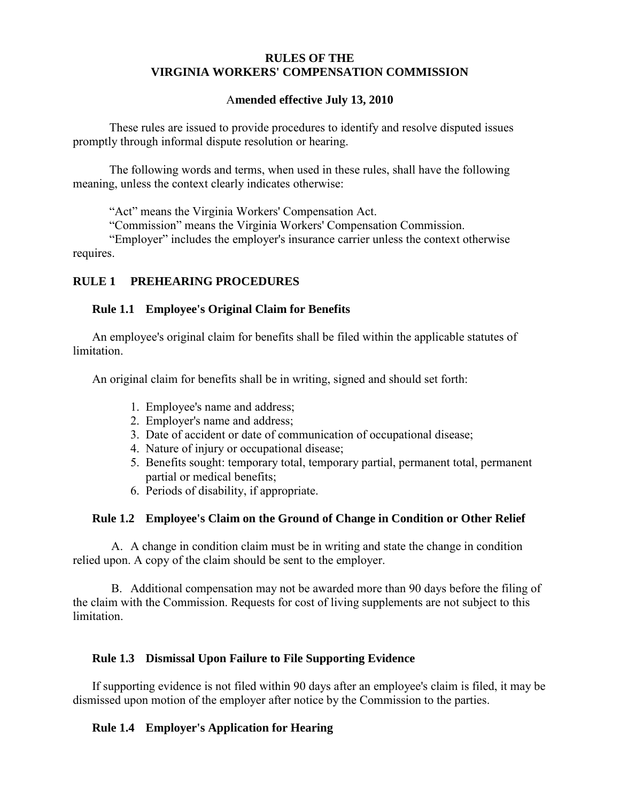## **RULES OF THE VIRGINIA WORKERS' COMPENSATION COMMISSION**

## A**mended effective July 13, 2010**

These rules are issued to provide procedures to identify and resolve disputed issues promptly through informal dispute resolution or hearing.

The following words and terms, when used in these rules, shall have the following meaning, unless the context clearly indicates otherwise:

"Act" means the Virginia Workers' Compensation Act.

"Commission" means the Virginia Workers' Compensation Commission.

"Employer" includes the employer's insurance carrier unless the context otherwise requires.

# **RULE 1 PREHEARING PROCEDURES**

## **Rule 1.1 Employee's Original Claim for Benefits**

An employee's original claim for benefits shall be filed within the applicable statutes of limitation.

An original claim for benefits shall be in writing, signed and should set forth:

- 1. Employee's name and address;
- 2. Employer's name and address;
- 3. Date of accident or date of communication of occupational disease;
- 4. Nature of injury or occupational disease;
- 5. Benefits sought: temporary total, temporary partial, permanent total, permanent partial or medical benefits;
- 6. Periods of disability, if appropriate.

## **Rule 1.2 Employee's Claim on the Ground of Change in Condition or Other Relief**

A. A change in condition claim must be in writing and state the change in condition relied upon. A copy of the claim should be sent to the employer.

B. Additional compensation may not be awarded more than 90 days before the filing of the claim with the Commission. Requests for cost of living supplements are not subject to this limitation.

## **Rule 1.3 Dismissal Upon Failure to File Supporting Evidence**

If supporting evidence is not filed within 90 days after an employee's claim is filed, it may be dismissed upon motion of the employer after notice by the Commission to the parties.

# **Rule 1.4 Employer's Application for Hearing**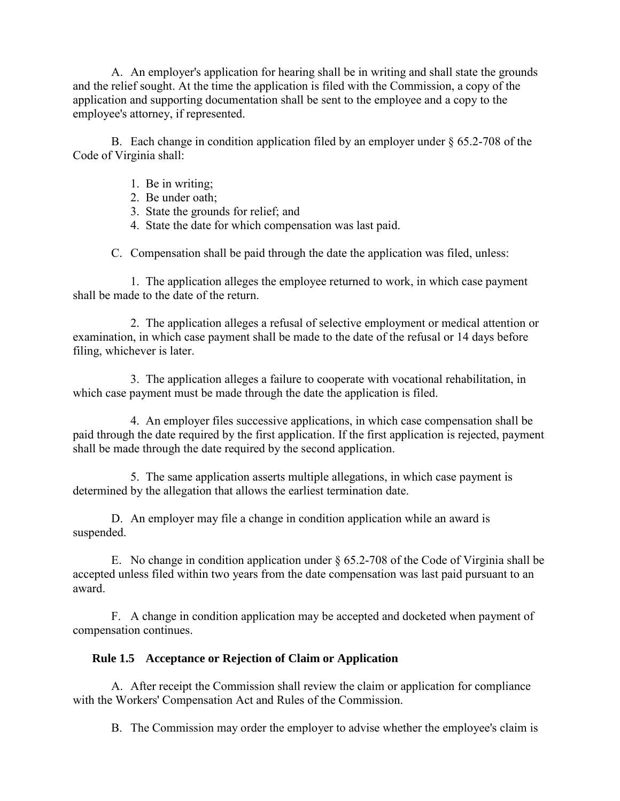A. An employer's application for hearing shall be in writing and shall state the grounds and the relief sought. At the time the application is filed with the Commission, a copy of the application and supporting documentation shall be sent to the employee and a copy to the employee's attorney, if represented.

B. Each change in condition application filed by an employer under § 65.2-708 of the Code of Virginia shall:

- 1. Be in writing;
- 2. Be under oath;
- 3. State the grounds for relief; and
- 4. State the date for which compensation was last paid.

C. Compensation shall be paid through the date the application was filed, unless:

1. The application alleges the employee returned to work, in which case payment shall be made to the date of the return.

2. The application alleges a refusal of selective employment or medical attention or examination, in which case payment shall be made to the date of the refusal or 14 days before filing, whichever is later.

3. The application alleges a failure to cooperate with vocational rehabilitation, in which case payment must be made through the date the application is filed.

4. An employer files successive applications, in which case compensation shall be paid through the date required by the first application. If the first application is rejected, payment shall be made through the date required by the second application.

5. The same application asserts multiple allegations, in which case payment is determined by the allegation that allows the earliest termination date.

D. An employer may file a change in condition application while an award is suspended.

E. No change in condition application under § 65.2-708 of the Code of Virginia shall be accepted unless filed within two years from the date compensation was last paid pursuant to an award.

F. A change in condition application may be accepted and docketed when payment of compensation continues.

# **Rule 1.5 Acceptance or Rejection of Claim or Application**

A. After receipt the Commission shall review the claim or application for compliance with the Workers' Compensation Act and Rules of the Commission.

B. The Commission may order the employer to advise whether the employee's claim is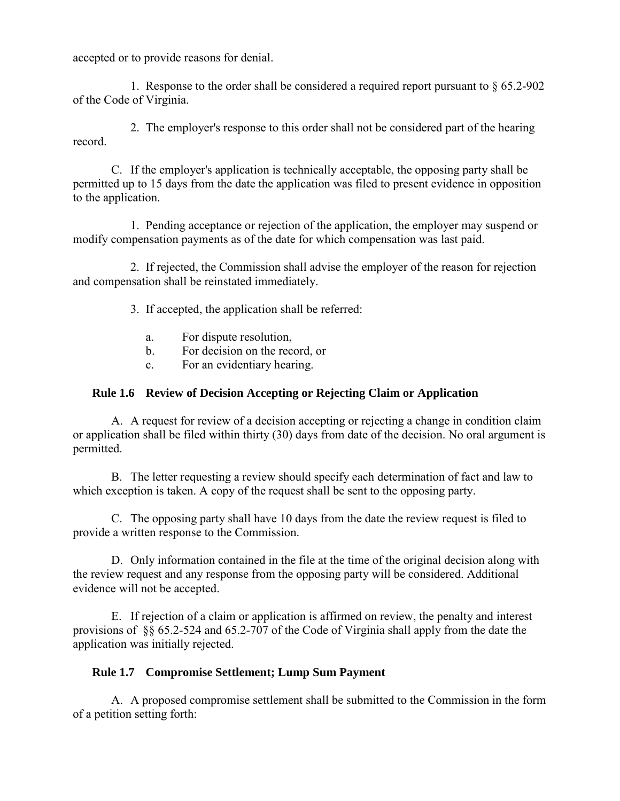accepted or to provide reasons for denial.

1. Response to the order shall be considered a required report pursuant to § 65.2-902 of the Code of Virginia.

2. The employer's response to this order shall not be considered part of the hearing record.

C. If the employer's application is technically acceptable, the opposing party shall be permitted up to 15 days from the date the application was filed to present evidence in opposition to the application.

1. Pending acceptance or rejection of the application, the employer may suspend or modify compensation payments as of the date for which compensation was last paid.

2. If rejected, the Commission shall advise the employer of the reason for rejection and compensation shall be reinstated immediately.

3. If accepted, the application shall be referred:

- a. For dispute resolution,
- b. For decision on the record, or
- c. For an evidentiary hearing.

# **Rule 1.6 Review of Decision Accepting or Rejecting Claim or Application**

A. A request for review of a decision accepting or rejecting a change in condition claim or application shall be filed within thirty (30) days from date of the decision. No oral argument is permitted.

B. The letter requesting a review should specify each determination of fact and law to which exception is taken. A copy of the request shall be sent to the opposing party.

C. The opposing party shall have 10 days from the date the review request is filed to provide a written response to the Commission.

D. Only information contained in the file at the time of the original decision along with the review request and any response from the opposing party will be considered. Additional evidence will not be accepted.

E. If rejection of a claim or application is affirmed on review, the penalty and interest provisions of §§ 65.2-524 and 65.2-707 of the Code of Virginia shall apply from the date the application was initially rejected.

# **Rule 1.7 Compromise Settlement; Lump Sum Payment**

A. A proposed compromise settlement shall be submitted to the Commission in the form of a petition setting forth: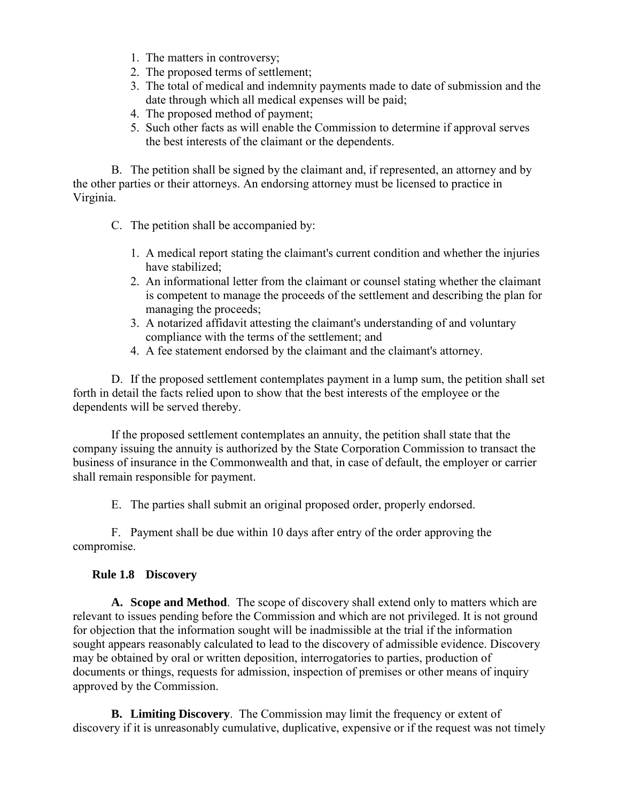- 1. The matters in controversy;
- 2. The proposed terms of settlement;
- 3. The total of medical and indemnity payments made to date of submission and the date through which all medical expenses will be paid;
- 4. The proposed method of payment;
- 5. Such other facts as will enable the Commission to determine if approval serves the best interests of the claimant or the dependents.

B. The petition shall be signed by the claimant and, if represented, an attorney and by the other parties or their attorneys. An endorsing attorney must be licensed to practice in Virginia.

- C. The petition shall be accompanied by:
	- 1. A medical report stating the claimant's current condition and whether the injuries have stabilized;
	- 2. An informational letter from the claimant or counsel stating whether the claimant is competent to manage the proceeds of the settlement and describing the plan for managing the proceeds;
	- 3. A notarized affidavit attesting the claimant's understanding of and voluntary compliance with the terms of the settlement; and
	- 4. A fee statement endorsed by the claimant and the claimant's attorney.

D. If the proposed settlement contemplates payment in a lump sum, the petition shall set forth in detail the facts relied upon to show that the best interests of the employee or the dependents will be served thereby.

If the proposed settlement contemplates an annuity, the petition shall state that the company issuing the annuity is authorized by the State Corporation Commission to transact the business of insurance in the Commonwealth and that, in case of default, the employer or carrier shall remain responsible for payment.

E. The parties shall submit an original proposed order, properly endorsed.

F. Payment shall be due within 10 days after entry of the order approving the compromise.

# **Rule 1.8 Discovery**

**A. Scope and Method**. The scope of discovery shall extend only to matters which are relevant to issues pending before the Commission and which are not privileged. It is not ground for objection that the information sought will be inadmissible at the trial if the information sought appears reasonably calculated to lead to the discovery of admissible evidence. Discovery may be obtained by oral or written deposition, interrogatories to parties, production of documents or things, requests for admission, inspection of premises or other means of inquiry approved by the Commission.

**B. Limiting Discovery**. The Commission may limit the frequency or extent of discovery if it is unreasonably cumulative, duplicative, expensive or if the request was not timely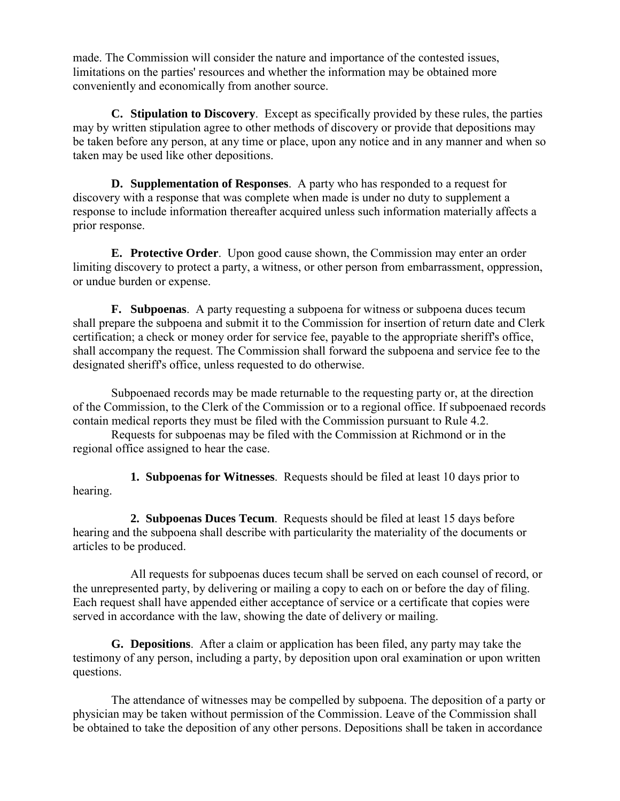made. The Commission will consider the nature and importance of the contested issues, limitations on the parties' resources and whether the information may be obtained more conveniently and economically from another source.

**C. Stipulation to Discovery**. Except as specifically provided by these rules, the parties may by written stipulation agree to other methods of discovery or provide that depositions may be taken before any person, at any time or place, upon any notice and in any manner and when so taken may be used like other depositions.

**D. Supplementation of Responses**. A party who has responded to a request for discovery with a response that was complete when made is under no duty to supplement a response to include information thereafter acquired unless such information materially affects a prior response.

**E. Protective Order**. Upon good cause shown, the Commission may enter an order limiting discovery to protect a party, a witness, or other person from embarrassment, oppression, or undue burden or expense.

**F. Subpoenas**. A party requesting a subpoena for witness or subpoena duces tecum shall prepare the subpoena and submit it to the Commission for insertion of return date and Clerk certification; a check or money order for service fee, payable to the appropriate sheriff's office, shall accompany the request. The Commission shall forward the subpoena and service fee to the designated sheriff's office, unless requested to do otherwise.

Subpoenaed records may be made returnable to the requesting party or, at the direction of the Commission, to the Clerk of the Commission or to a regional office. If subpoenaed records contain medical reports they must be filed with the Commission pursuant to Rule 4.2.

Requests for subpoenas may be filed with the Commission at Richmond or in the regional office assigned to hear the case.

**1. Subpoenas for Witnesses**. Requests should be filed at least 10 days prior to hearing.

**2. Subpoenas Duces Tecum**. Requests should be filed at least 15 days before hearing and the subpoena shall describe with particularity the materiality of the documents or articles to be produced.

All requests for subpoenas duces tecum shall be served on each counsel of record, or the unrepresented party, by delivering or mailing a copy to each on or before the day of filing. Each request shall have appended either acceptance of service or a certificate that copies were served in accordance with the law, showing the date of delivery or mailing.

**G. Depositions**. After a claim or application has been filed, any party may take the testimony of any person, including a party, by deposition upon oral examination or upon written questions.

The attendance of witnesses may be compelled by subpoena. The deposition of a party or physician may be taken without permission of the Commission. Leave of the Commission shall be obtained to take the deposition of any other persons. Depositions shall be taken in accordance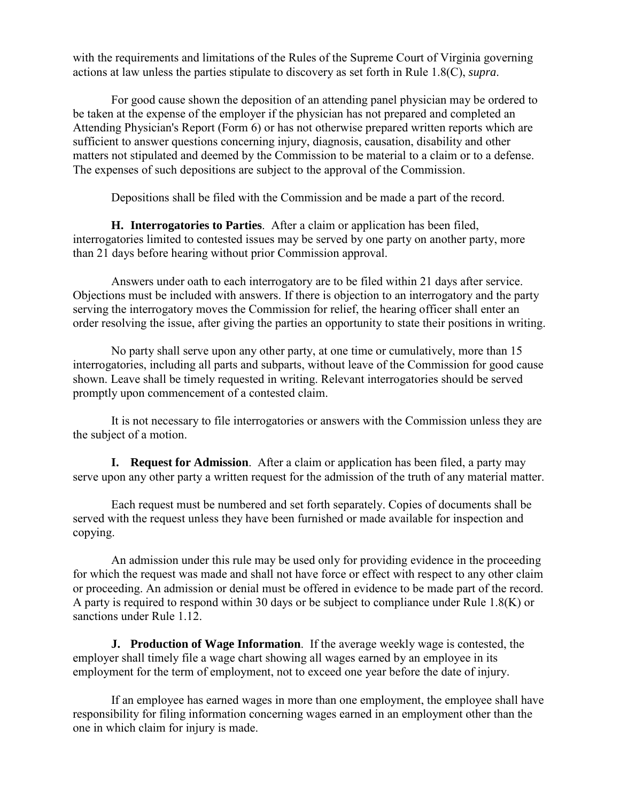with the requirements and limitations of the Rules of the Supreme Court of Virginia governing actions at law unless the parties stipulate to discovery as set forth in Rule 1.8(C), *supra*.

For good cause shown the deposition of an attending panel physician may be ordered to be taken at the expense of the employer if the physician has not prepared and completed an Attending Physician's Report (Form 6) or has not otherwise prepared written reports which are sufficient to answer questions concerning injury, diagnosis, causation, disability and other matters not stipulated and deemed by the Commission to be material to a claim or to a defense. The expenses of such depositions are subject to the approval of the Commission.

Depositions shall be filed with the Commission and be made a part of the record.

**H. Interrogatories to Parties**. After a claim or application has been filed, interrogatories limited to contested issues may be served by one party on another party, more than 21 days before hearing without prior Commission approval.

Answers under oath to each interrogatory are to be filed within 21 days after service. Objections must be included with answers. If there is objection to an interrogatory and the party serving the interrogatory moves the Commission for relief, the hearing officer shall enter an order resolving the issue, after giving the parties an opportunity to state their positions in writing.

No party shall serve upon any other party, at one time or cumulatively, more than 15 interrogatories, including all parts and subparts, without leave of the Commission for good cause shown. Leave shall be timely requested in writing. Relevant interrogatories should be served promptly upon commencement of a contested claim.

It is not necessary to file interrogatories or answers with the Commission unless they are the subject of a motion.

**I. Request for Admission**. After a claim or application has been filed, a party may serve upon any other party a written request for the admission of the truth of any material matter.

Each request must be numbered and set forth separately. Copies of documents shall be served with the request unless they have been furnished or made available for inspection and copying.

An admission under this rule may be used only for providing evidence in the proceeding for which the request was made and shall not have force or effect with respect to any other claim or proceeding. An admission or denial must be offered in evidence to be made part of the record. A party is required to respond within 30 days or be subject to compliance under Rule 1.8(K) or sanctions under Rule 1.12.

**J. Production of Wage Information**. If the average weekly wage is contested, the employer shall timely file a wage chart showing all wages earned by an employee in its employment for the term of employment, not to exceed one year before the date of injury.

If an employee has earned wages in more than one employment, the employee shall have responsibility for filing information concerning wages earned in an employment other than the one in which claim for injury is made.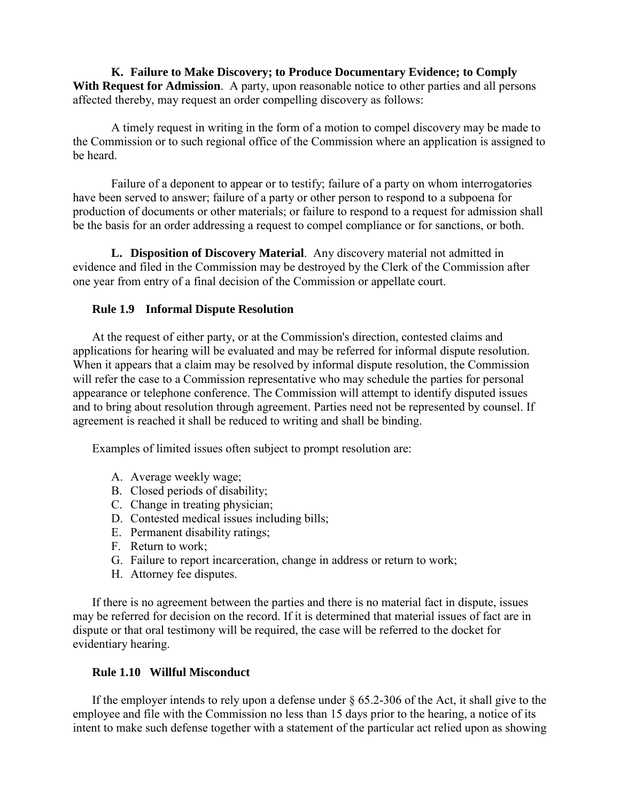**K. Failure to Make Discovery; to Produce Documentary Evidence; to Comply With Request for Admission.** A party, upon reasonable notice to other parties and all persons affected thereby, may request an order compelling discovery as follows:

A timely request in writing in the form of a motion to compel discovery may be made to the Commission or to such regional office of the Commission where an application is assigned to be heard.

Failure of a deponent to appear or to testify; failure of a party on whom interrogatories have been served to answer; failure of a party or other person to respond to a subpoena for production of documents or other materials; or failure to respond to a request for admission shall be the basis for an order addressing a request to compel compliance or for sanctions, or both.

**L. Disposition of Discovery Material**. Any discovery material not admitted in evidence and filed in the Commission may be destroyed by the Clerk of the Commission after one year from entry of a final decision of the Commission or appellate court.

## **Rule 1.9 Informal Dispute Resolution**

At the request of either party, or at the Commission's direction, contested claims and applications for hearing will be evaluated and may be referred for informal dispute resolution. When it appears that a claim may be resolved by informal dispute resolution, the Commission will refer the case to a Commission representative who may schedule the parties for personal appearance or telephone conference. The Commission will attempt to identify disputed issues and to bring about resolution through agreement. Parties need not be represented by counsel. If agreement is reached it shall be reduced to writing and shall be binding.

Examples of limited issues often subject to prompt resolution are:

- A. Average weekly wage;
- B. Closed periods of disability;
- C. Change in treating physician;
- D. Contested medical issues including bills;
- E. Permanent disability ratings;
- F. Return to work;
- G. Failure to report incarceration, change in address or return to work;
- H. Attorney fee disputes.

If there is no agreement between the parties and there is no material fact in dispute, issues may be referred for decision on the record. If it is determined that material issues of fact are in dispute or that oral testimony will be required, the case will be referred to the docket for evidentiary hearing.

# **Rule 1.10 Willful Misconduct**

If the employer intends to rely upon a defense under § 65.2-306 of the Act, it shall give to the employee and file with the Commission no less than 15 days prior to the hearing, a notice of its intent to make such defense together with a statement of the particular act relied upon as showing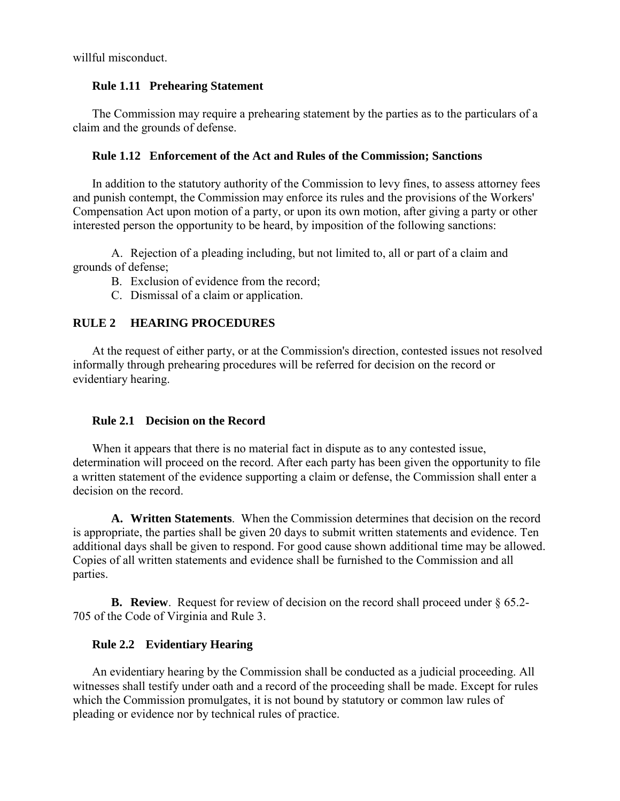willful misconduct.

## **Rule 1.11 Prehearing Statement**

The Commission may require a prehearing statement by the parties as to the particulars of a claim and the grounds of defense.

## **Rule 1.12 Enforcement of the Act and Rules of the Commission; Sanctions**

In addition to the statutory authority of the Commission to levy fines, to assess attorney fees and punish contempt, the Commission may enforce its rules and the provisions of the Workers' Compensation Act upon motion of a party, or upon its own motion, after giving a party or other interested person the opportunity to be heard, by imposition of the following sanctions:

A. Rejection of a pleading including, but not limited to, all or part of a claim and grounds of defense;

- B. Exclusion of evidence from the record;
- C. Dismissal of a claim or application.

# **RULE 2 HEARING PROCEDURES**

At the request of either party, or at the Commission's direction, contested issues not resolved informally through prehearing procedures will be referred for decision on the record or evidentiary hearing.

## **Rule 2.1 Decision on the Record**

When it appears that there is no material fact in dispute as to any contested issue, determination will proceed on the record. After each party has been given the opportunity to file a written statement of the evidence supporting a claim or defense, the Commission shall enter a decision on the record.

**A. Written Statements**. When the Commission determines that decision on the record is appropriate, the parties shall be given 20 days to submit written statements and evidence. Ten additional days shall be given to respond. For good cause shown additional time may be allowed. Copies of all written statements and evidence shall be furnished to the Commission and all parties.

**B.** Review. Request for review of decision on the record shall proceed under § 65.2-705 of the Code of Virginia and Rule 3.

## **Rule 2.2 Evidentiary Hearing**

An evidentiary hearing by the Commission shall be conducted as a judicial proceeding. All witnesses shall testify under oath and a record of the proceeding shall be made. Except for rules which the Commission promulgates, it is not bound by statutory or common law rules of pleading or evidence nor by technical rules of practice.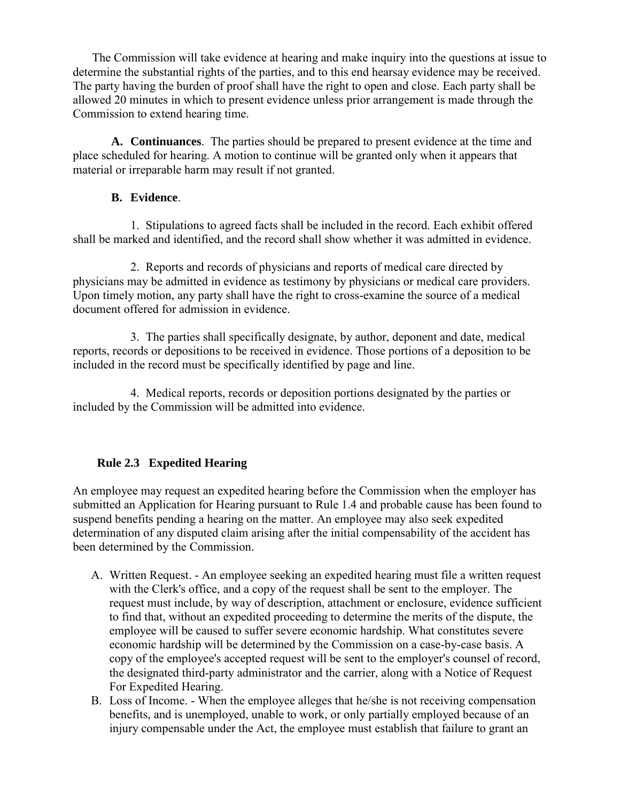The Commission will take evidence at hearing and make inquiry into the questions at issue to determine the substantial rights of the parties, and to this end hearsay evidence may be received. The party having the burden of proof shall have the right to open and close. Each party shall be allowed 20 minutes in which to present evidence unless prior arrangement is made through the Commission to extend hearing time.

**A. Continuances**. The parties should be prepared to present evidence at the time and place scheduled for hearing. A motion to continue will be granted only when it appears that material or irreparable harm may result if not granted.

# **B. Evidence**.

1. Stipulations to agreed facts shall be included in the record. Each exhibit offered shall be marked and identified, and the record shall show whether it was admitted in evidence.

2. Reports and records of physicians and reports of medical care directed by physicians may be admitted in evidence as testimony by physicians or medical care providers. Upon timely motion, any party shall have the right to cross-examine the source of a medical document offered for admission in evidence.

3. The parties shall specifically designate, by author, deponent and date, medical reports, records or depositions to be received in evidence. Those portions of a deposition to be included in the record must be specifically identified by page and line.

4. Medical reports, records or deposition portions designated by the parties or included by the Commission will be admitted into evidence.

# **Rule 2.3 Expedited Hearing**

An employee may request an expedited hearing before the Commission when the employer has submitted an Application for Hearing pursuant to Rule 1.4 and probable cause has been found to suspend benefits pending a hearing on the matter. An employee may also seek expedited determination of any disputed claim arising after the initial compensability of the accident has been determined by the Commission.

- A. Written Request. An employee seeking an expedited hearing must file a written request with the Clerk's office, and a copy of the request shall be sent to the employer. The request must include, by way of description, attachment or enclosure, evidence sufficient to find that, without an expedited proceeding to determine the merits of the dispute, the employee will be caused to suffer severe economic hardship. What constitutes severe economic hardship will be determined by the Commission on a case-by-case basis. A copy of the employee's accepted request will be sent to the employer's counsel of record, the designated third-party administrator and the carrier, along with a Notice of Request For Expedited Hearing.
- B. Loss of Income. When the employee alleges that he/she is not receiving compensation benefits, and is unemployed, unable to work, or only partially employed because of an injury compensable under the Act, the employee must establish that failure to grant an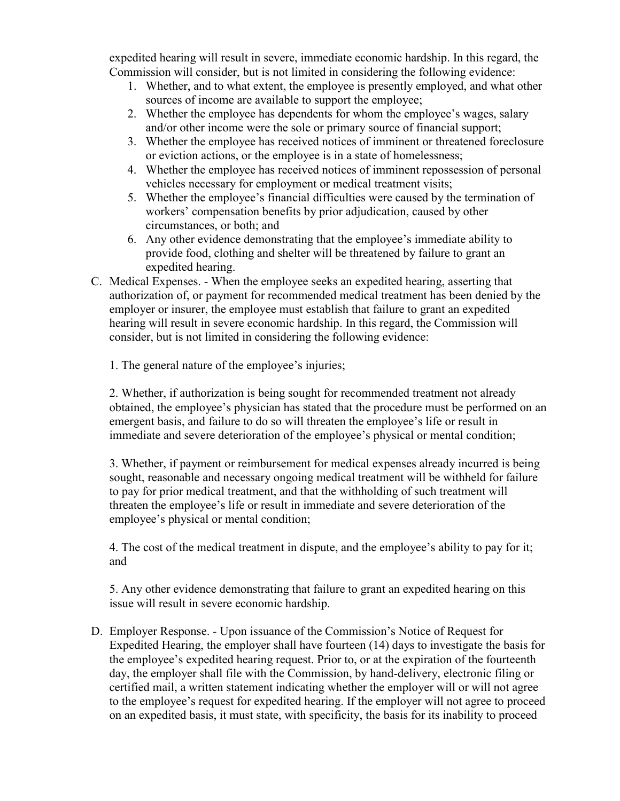expedited hearing will result in severe, immediate economic hardship. In this regard, the Commission will consider, but is not limited in considering the following evidence:

- 1. Whether, and to what extent, the employee is presently employed, and what other sources of income are available to support the employee;
- 2. Whether the employee has dependents for whom the employee's wages, salary and/or other income were the sole or primary source of financial support;
- 3. Whether the employee has received notices of imminent or threatened foreclosure or eviction actions, or the employee is in a state of homelessness;
- 4. Whether the employee has received notices of imminent repossession of personal vehicles necessary for employment or medical treatment visits;
- 5. Whether the employee's financial difficulties were caused by the termination of workers' compensation benefits by prior adjudication, caused by other circumstances, or both; and
- 6. Any other evidence demonstrating that the employee's immediate ability to provide food, clothing and shelter will be threatened by failure to grant an expedited hearing.
- C. Medical Expenses. When the employee seeks an expedited hearing, asserting that authorization of, or payment for recommended medical treatment has been denied by the employer or insurer, the employee must establish that failure to grant an expedited hearing will result in severe economic hardship. In this regard, the Commission will consider, but is not limited in considering the following evidence:

1. The general nature of the employee's injuries;

2. Whether, if authorization is being sought for recommended treatment not already obtained, the employee's physician has stated that the procedure must be performed on an emergent basis, and failure to do so will threaten the employee's life or result in immediate and severe deterioration of the employee's physical or mental condition;

3. Whether, if payment or reimbursement for medical expenses already incurred is being sought, reasonable and necessary ongoing medical treatment will be withheld for failure to pay for prior medical treatment, and that the withholding of such treatment will threaten the employee's life or result in immediate and severe deterioration of the employee's physical or mental condition;

4. The cost of the medical treatment in dispute, and the employee's ability to pay for it; and

5. Any other evidence demonstrating that failure to grant an expedited hearing on this issue will result in severe economic hardship.

D. Employer Response. - Upon issuance of the Commission's Notice of Request for Expedited Hearing, the employer shall have fourteen (14) days to investigate the basis for the employee's expedited hearing request. Prior to, or at the expiration of the fourteenth day, the employer shall file with the Commission, by hand-delivery, electronic filing or certified mail, a written statement indicating whether the employer will or will not agree to the employee's request for expedited hearing. If the employer will not agree to proceed on an expedited basis, it must state, with specificity, the basis for its inability to proceed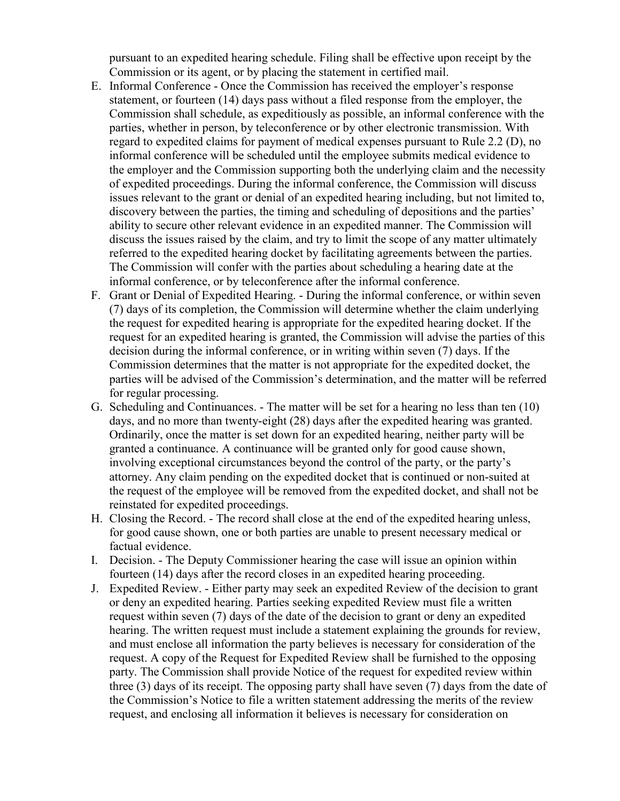pursuant to an expedited hearing schedule. Filing shall be effective upon receipt by the Commission or its agent, or by placing the statement in certified mail.

- E. Informal Conference Once the Commission has received the employer's response statement, or fourteen (14) days pass without a filed response from the employer, the Commission shall schedule, as expeditiously as possible, an informal conference with the parties, whether in person, by teleconference or by other electronic transmission. With regard to expedited claims for payment of medical expenses pursuant to Rule 2.2 (D), no informal conference will be scheduled until the employee submits medical evidence to the employer and the Commission supporting both the underlying claim and the necessity of expedited proceedings. During the informal conference, the Commission will discuss issues relevant to the grant or denial of an expedited hearing including, but not limited to, discovery between the parties, the timing and scheduling of depositions and the parties' ability to secure other relevant evidence in an expedited manner. The Commission will discuss the issues raised by the claim, and try to limit the scope of any matter ultimately referred to the expedited hearing docket by facilitating agreements between the parties. The Commission will confer with the parties about scheduling a hearing date at the informal conference, or by teleconference after the informal conference.
- F. Grant or Denial of Expedited Hearing. During the informal conference, or within seven (7) days of its completion, the Commission will determine whether the claim underlying the request for expedited hearing is appropriate for the expedited hearing docket. If the request for an expedited hearing is granted, the Commission will advise the parties of this decision during the informal conference, or in writing within seven (7) days. If the Commission determines that the matter is not appropriate for the expedited docket, the parties will be advised of the Commission's determination, and the matter will be referred for regular processing.
- G. Scheduling and Continuances. The matter will be set for a hearing no less than ten (10) days, and no more than twenty-eight (28) days after the expedited hearing was granted. Ordinarily, once the matter is set down for an expedited hearing, neither party will be granted a continuance. A continuance will be granted only for good cause shown, involving exceptional circumstances beyond the control of the party, or the party's attorney. Any claim pending on the expedited docket that is continued or non-suited at the request of the employee will be removed from the expedited docket, and shall not be reinstated for expedited proceedings.
- H. Closing the Record. The record shall close at the end of the expedited hearing unless, for good cause shown, one or both parties are unable to present necessary medical or factual evidence.
- I. Decision. The Deputy Commissioner hearing the case will issue an opinion within fourteen (14) days after the record closes in an expedited hearing proceeding.
- J. Expedited Review. Either party may seek an expedited Review of the decision to grant or deny an expedited hearing. Parties seeking expedited Review must file a written request within seven (7) days of the date of the decision to grant or deny an expedited hearing. The written request must include a statement explaining the grounds for review, and must enclose all information the party believes is necessary for consideration of the request. A copy of the Request for Expedited Review shall be furnished to the opposing party. The Commission shall provide Notice of the request for expedited review within three (3) days of its receipt. The opposing party shall have seven (7) days from the date of the Commission's Notice to file a written statement addressing the merits of the review request, and enclosing all information it believes is necessary for consideration on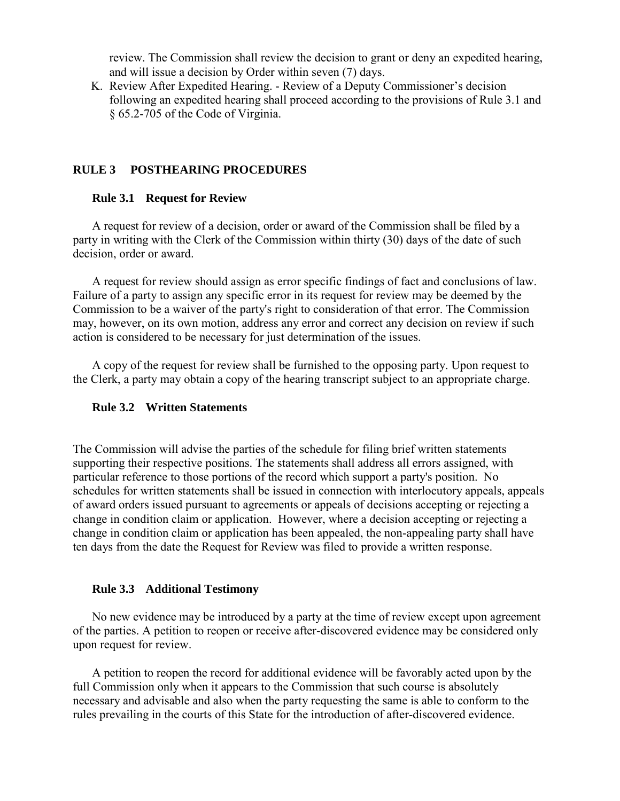review. The Commission shall review the decision to grant or deny an expedited hearing, and will issue a decision by Order within seven (7) days.

K. Review After Expedited Hearing. - Review of a Deputy Commissioner's decision following an expedited hearing shall proceed according to the provisions of Rule 3.1 and § 65.2-705 of the Code of Virginia.

## **RULE 3 POSTHEARING PROCEDURES**

## **Rule 3.1 Request for Review**

A request for review of a decision, order or award of the Commission shall be filed by a party in writing with the Clerk of the Commission within thirty (30) days of the date of such decision, order or award.

A request for review should assign as error specific findings of fact and conclusions of law. Failure of a party to assign any specific error in its request for review may be deemed by the Commission to be a waiver of the party's right to consideration of that error. The Commission may, however, on its own motion, address any error and correct any decision on review if such action is considered to be necessary for just determination of the issues.

A copy of the request for review shall be furnished to the opposing party. Upon request to the Clerk, a party may obtain a copy of the hearing transcript subject to an appropriate charge.

## **Rule 3.2 Written Statements**

The Commission will advise the parties of the schedule for filing brief written statements supporting their respective positions. The statements shall address all errors assigned, with particular reference to those portions of the record which support a party's position. No schedules for written statements shall be issued in connection with interlocutory appeals, appeals of award orders issued pursuant to agreements or appeals of decisions accepting or rejecting a change in condition claim or application. However, where a decision accepting or rejecting a change in condition claim or application has been appealed, the non-appealing party shall have ten days from the date the Request for Review was filed to provide a written response.

#### **Rule 3.3 Additional Testimony**

No new evidence may be introduced by a party at the time of review except upon agreement of the parties. A petition to reopen or receive after-discovered evidence may be considered only upon request for review.

A petition to reopen the record for additional evidence will be favorably acted upon by the full Commission only when it appears to the Commission that such course is absolutely necessary and advisable and also when the party requesting the same is able to conform to the rules prevailing in the courts of this State for the introduction of after-discovered evidence.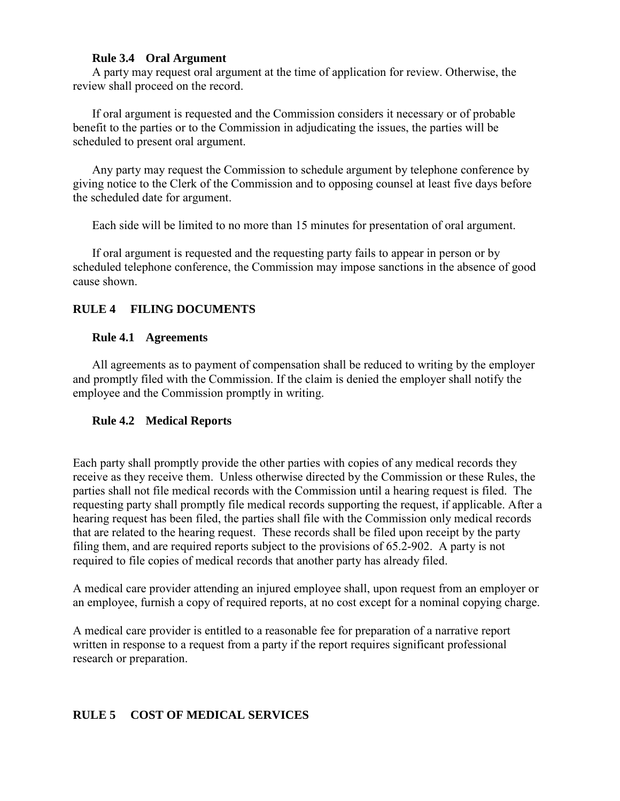## **Rule 3.4 Oral Argument**

A party may request oral argument at the time of application for review. Otherwise, the review shall proceed on the record.

If oral argument is requested and the Commission considers it necessary or of probable benefit to the parties or to the Commission in adjudicating the issues, the parties will be scheduled to present oral argument.

Any party may request the Commission to schedule argument by telephone conference by giving notice to the Clerk of the Commission and to opposing counsel at least five days before the scheduled date for argument.

Each side will be limited to no more than 15 minutes for presentation of oral argument.

If oral argument is requested and the requesting party fails to appear in person or by scheduled telephone conference, the Commission may impose sanctions in the absence of good cause shown.

# **RULE 4 FILING DOCUMENTS**

# **Rule 4.1 Agreements**

All agreements as to payment of compensation shall be reduced to writing by the employer and promptly filed with the Commission. If the claim is denied the employer shall notify the employee and the Commission promptly in writing.

# **Rule 4.2 Medical Reports**

Each party shall promptly provide the other parties with copies of any medical records they receive as they receive them. Unless otherwise directed by the Commission or these Rules, the parties shall not file medical records with the Commission until a hearing request is filed. The requesting party shall promptly file medical records supporting the request, if applicable. After a hearing request has been filed, the parties shall file with the Commission only medical records that are related to the hearing request. These records shall be filed upon receipt by the party filing them, and are required reports subject to the provisions of 65.2-902. A party is not required to file copies of medical records that another party has already filed.

A medical care provider attending an injured employee shall, upon request from an employer or an employee, furnish a copy of required reports, at no cost except for a nominal copying charge.

A medical care provider is entitled to a reasonable fee for preparation of a narrative report written in response to a request from a party if the report requires significant professional research or preparation.

# **RULE 5 COST OF MEDICAL SERVICES**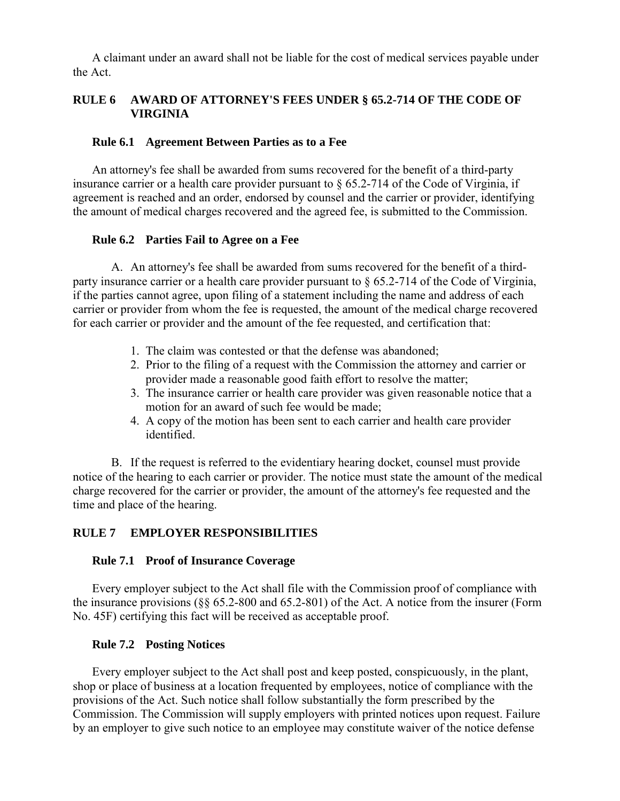A claimant under an award shall not be liable for the cost of medical services payable under the Act.

# **RULE 6 AWARD OF ATTORNEY'S FEES UNDER § 65.2-714 OF THE CODE OF VIRGINIA**

## **Rule 6.1 Agreement Between Parties as to a Fee**

An attorney's fee shall be awarded from sums recovered for the benefit of a third-party insurance carrier or a health care provider pursuant to § 65.2-714 of the Code of Virginia, if agreement is reached and an order, endorsed by counsel and the carrier or provider, identifying the amount of medical charges recovered and the agreed fee, is submitted to the Commission.

## **Rule 6.2 Parties Fail to Agree on a Fee**

A. An attorney's fee shall be awarded from sums recovered for the benefit of a thirdparty insurance carrier or a health care provider pursuant to  $\S 65.2$ -714 of the Code of Virginia, if the parties cannot agree, upon filing of a statement including the name and address of each carrier or provider from whom the fee is requested, the amount of the medical charge recovered for each carrier or provider and the amount of the fee requested, and certification that:

- 1. The claim was contested or that the defense was abandoned;
- 2. Prior to the filing of a request with the Commission the attorney and carrier or provider made a reasonable good faith effort to resolve the matter;
- 3. The insurance carrier or health care provider was given reasonable notice that a motion for an award of such fee would be made;
- 4. A copy of the motion has been sent to each carrier and health care provider identified.

B. If the request is referred to the evidentiary hearing docket, counsel must provide notice of the hearing to each carrier or provider. The notice must state the amount of the medical charge recovered for the carrier or provider, the amount of the attorney's fee requested and the time and place of the hearing.

# **RULE 7 EMPLOYER RESPONSIBILITIES**

## **Rule 7.1 Proof of Insurance Coverage**

Every employer subject to the Act shall file with the Commission proof of compliance with the insurance provisions (§§ 65.2-800 and 65.2-801) of the Act. A notice from the insurer (Form No. 45F) certifying this fact will be received as acceptable proof.

## **Rule 7.2 Posting Notices**

Every employer subject to the Act shall post and keep posted, conspicuously, in the plant, shop or place of business at a location frequented by employees, notice of compliance with the provisions of the Act. Such notice shall follow substantially the form prescribed by the Commission. The Commission will supply employers with printed notices upon request. Failure by an employer to give such notice to an employee may constitute waiver of the notice defense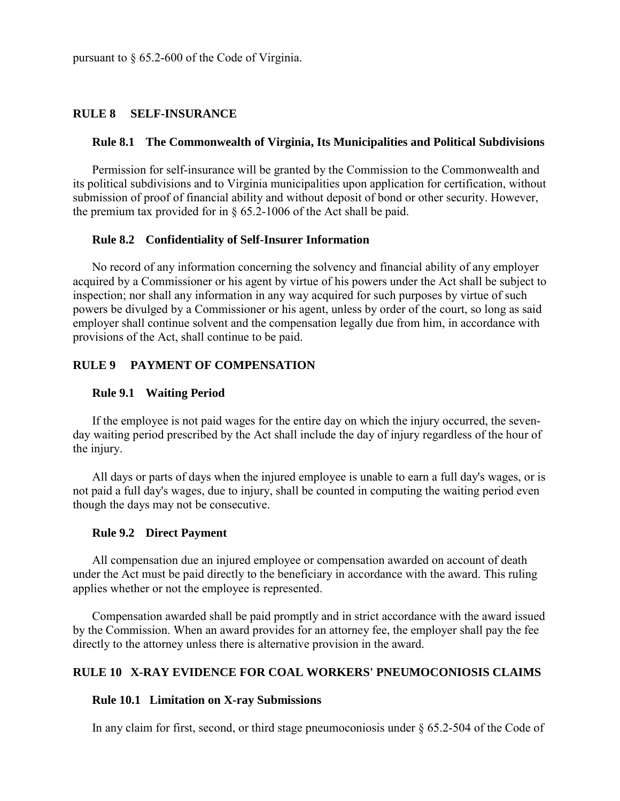pursuant to § 65.2-600 of the Code of Virginia.

### **RULE 8 SELF-INSURANCE**

#### **Rule 8.1 The Commonwealth of Virginia, Its Municipalities and Political Subdivisions**

Permission for self-insurance will be granted by the Commission to the Commonwealth and its political subdivisions and to Virginia municipalities upon application for certification, without submission of proof of financial ability and without deposit of bond or other security. However, the premium tax provided for in  $\S$  65.2-1006 of the Act shall be paid.

#### **Rule 8.2 Confidentiality of Self-Insurer Information**

No record of any information concerning the solvency and financial ability of any employer acquired by a Commissioner or his agent by virtue of his powers under the Act shall be subject to inspection; nor shall any information in any way acquired for such purposes by virtue of such powers be divulged by a Commissioner or his agent, unless by order of the court, so long as said employer shall continue solvent and the compensation legally due from him, in accordance with provisions of the Act, shall continue to be paid.

### **RULE 9 PAYMENT OF COMPENSATION**

#### **Rule 9.1 Waiting Period**

If the employee is not paid wages for the entire day on which the injury occurred, the sevenday waiting period prescribed by the Act shall include the day of injury regardless of the hour of the injury.

All days or parts of days when the injured employee is unable to earn a full day's wages, or is not paid a full day's wages, due to injury, shall be counted in computing the waiting period even though the days may not be consecutive.

#### **Rule 9.2 Direct Payment**

All compensation due an injured employee or compensation awarded on account of death under the Act must be paid directly to the beneficiary in accordance with the award. This ruling applies whether or not the employee is represented.

Compensation awarded shall be paid promptly and in strict accordance with the award issued by the Commission. When an award provides for an attorney fee, the employer shall pay the fee directly to the attorney unless there is alternative provision in the award.

## **RULE 10 X-RAY EVIDENCE FOR COAL WORKERS' PNEUMOCONIOSIS CLAIMS**

#### **Rule 10.1 Limitation on X-ray Submissions**

In any claim for first, second, or third stage pneumoconiosis under § 65.2-504 of the Code of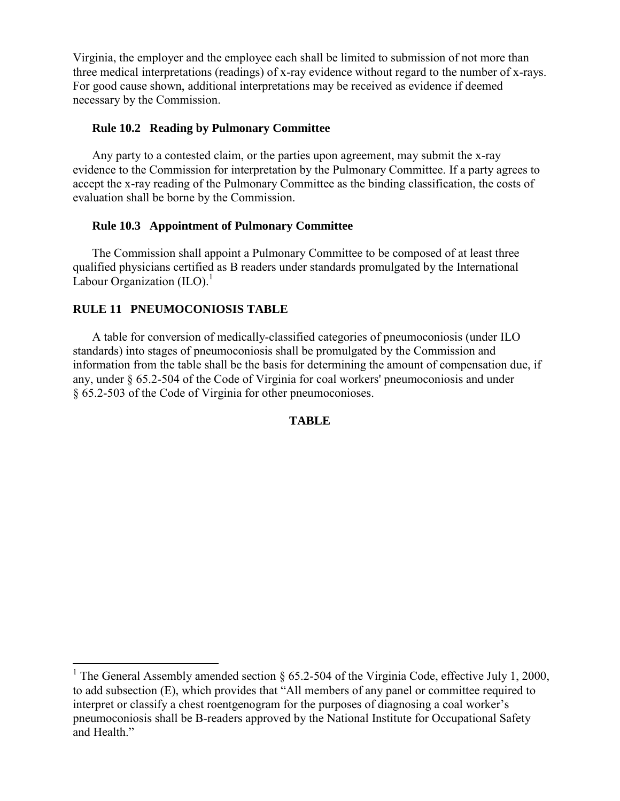Virginia, the employer and the employee each shall be limited to submission of not more than three medical interpretations (readings) of x-ray evidence without regard to the number of x-rays. For good cause shown, additional interpretations may be received as evidence if deemed necessary by the Commission.

# **Rule 10.2 Reading by Pulmonary Committee**

Any party to a contested claim, or the parties upon agreement, may submit the x-ray evidence to the Commission for interpretation by the Pulmonary Committee. If a party agrees to accept the x-ray reading of the Pulmonary Committee as the binding classification, the costs of evaluation shall be borne by the Commission.

# **Rule 10.3 Appointment of Pulmonary Committee**

The Commission shall appoint a Pulmonary Committee to be composed of at least three qualified physicians certified as B readers under standards promulgated by the International Labour Organization  $(II, O)$ .<sup>1</sup>

# **RULE 11 PNEUMOCONIOSIS TABLE**

A table for conversion of medically-classified categories of pneumoconiosis (under ILO standards) into stages of pneumoconiosis shall be promulgated by the Commission and information from the table shall be the basis for determining the amount of compensation due, if any, under § 65.2-504 of the Code of Virginia for coal workers' pneumoconiosis and under § 65.2-503 of the Code of Virginia for other pneumoconioses.

# **TABLE**

<sup>&</sup>lt;sup>1</sup> The General Assembly amended section § 65.2-504 of the Virginia Code, effective July 1, 2000, to add subsection (E), which provides that "All members of any panel or committee required to interpret or classify a chest roentgenogram for the purposes of diagnosing a coal worker's pneumoconiosis shall be B-readers approved by the National Institute for Occupational Safety and Health"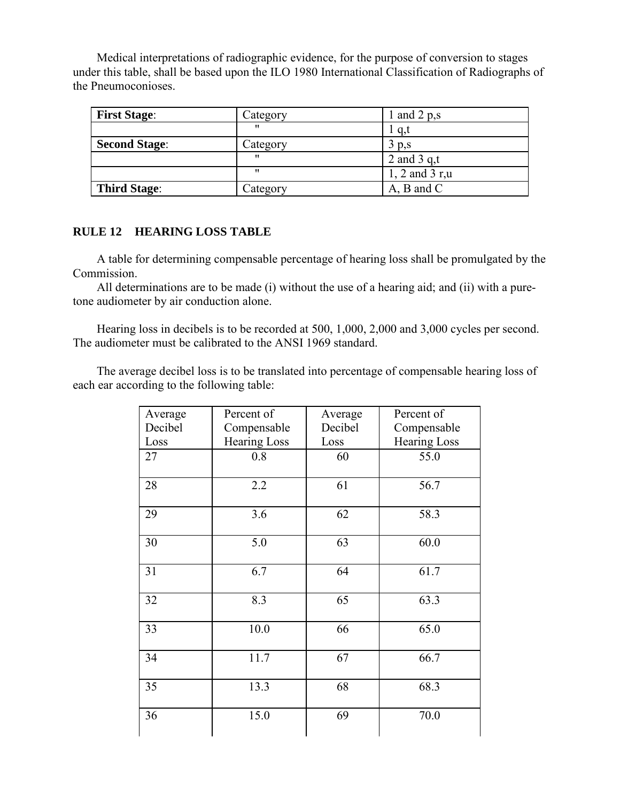Medical interpretations of radiographic evidence, for the purpose of conversion to stages under this table, shall be based upon the ILO 1980 International Classification of Radiographs of the Pneumoconioses.

| <b>First Stage:</b>  | Category | 1 and 2 $p,s$      |
|----------------------|----------|--------------------|
|                      | "        |                    |
| <b>Second Stage:</b> | Category | 3 p,s              |
|                      | 11       | 2 and 3 $q,t$      |
|                      | "        | $1, 2$ and $3$ r,u |
| <b>Third Stage:</b>  | Category | $A$ , $B$ and $C$  |

## **RULE 12 HEARING LOSS TABLE**

A table for determining compensable percentage of hearing loss shall be promulgated by the Commission.

All determinations are to be made (i) without the use of a hearing aid; and (ii) with a puretone audiometer by air conduction alone.

Hearing loss in decibels is to be recorded at 500, 1,000, 2,000 and 3,000 cycles per second. The audiometer must be calibrated to the ANSI 1969 standard.

The average decibel loss is to be translated into percentage of compensable hearing loss of each ear according to the following table:

| Average | Percent of          | Average | Percent of          |
|---------|---------------------|---------|---------------------|
| Decibel | Compensable         | Decibel | Compensable         |
| Loss    | <b>Hearing Loss</b> | Loss    | <b>Hearing Loss</b> |
| 27      | 0.8                 | 60      | 55.0                |
| 28      | 2.2                 | 61      | 56.7                |
| 29      | 3.6                 | 62      | 58.3                |
| 30      | 5.0                 | 63      | 60.0                |
| 31      | 6.7                 | 64      | 61.7                |
| 32      | 8.3                 | 65      | 63.3                |
| 33      | 10.0                | 66      | 65.0                |
| 34      | 11.7                | 67      | 66.7                |
| 35      | 13.3                | 68      | 68.3                |
| 36      | 15.0                | 69      | 70.0                |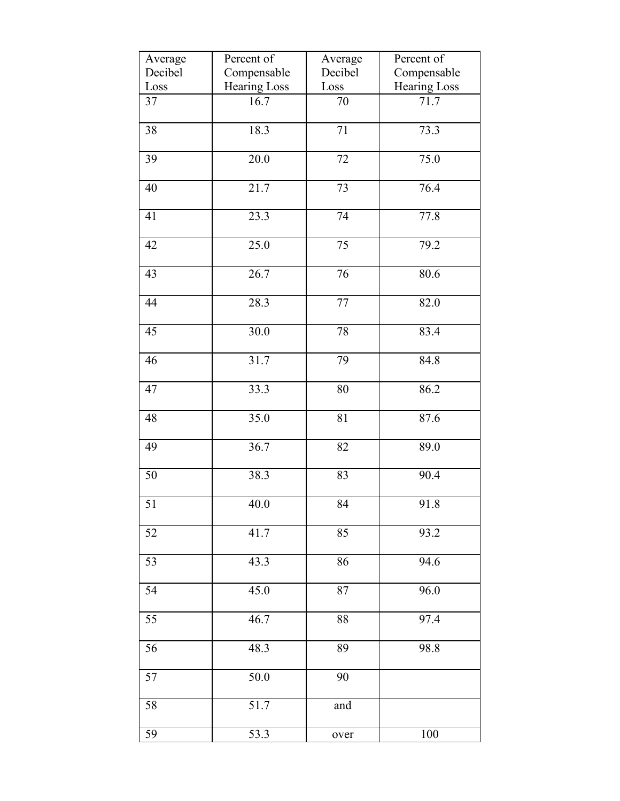| Average         | Percent of          | Average         | Percent of   |
|-----------------|---------------------|-----------------|--------------|
| Decibel         | Compensable         | Decibel         | Compensable  |
| Loss            | <b>Hearing Loss</b> | Loss            | Hearing Loss |
| 37              | 16.7                | 70              | 71.7         |
| 38              | 18.3                | 71              | 73.3         |
| 39              | 20.0                | $72\,$          | 75.0         |
| 40              | 21.7                | 73              | 76.4         |
| 41              | 23.3                | 74              | 77.8         |
| 42              | 25.0                | 75              | 79.2         |
| 43              | 26.7                | 76              | 80.6         |
| $\overline{44}$ | 28.3                | $\overline{77}$ | 82.0         |
| 45              | 30.0                | 78              | 83.4         |
| 46              | 31.7                | 79              | 84.8         |
| 47              | 33.3                | 80              | 86.2         |
| 48              | 35.0                | 81              | 87.6         |
| 49              | 36.7                | 82              | 89.0         |
| $\overline{50}$ | 38.3                | 83              | 90.4         |
| 51              | 40.0                | 84              | 91.8         |
| $\overline{52}$ | 41.7                | 85              | 93.2         |
| 53              | 43.3                | 86              | 94.6         |
| 54              | 45.0                | 87              | 96.0         |
| 55              | 46.7                | 88              | 97.4         |
| 56              | 48.3                | 89              | 98.8         |
| 57              | 50.0                | 90              |              |
| 58              | 51.7                | and             |              |
| 59              | 53.3                | over            | $100\,$      |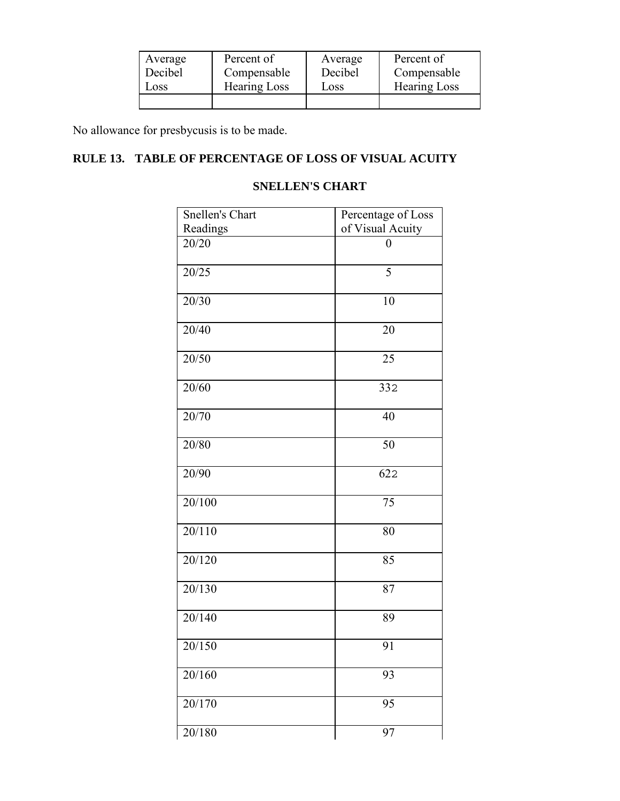| Average | Percent of          | Average | Percent of          |
|---------|---------------------|---------|---------------------|
| Decibel | Compensable         | Decibel | Compensable         |
| Loss    | <b>Hearing Loss</b> | Loss    | <b>Hearing Loss</b> |
|         |                     |         |                     |

No allowance for presbycusis is to be made.

# **RULE 13. TABLE OF PERCENTAGE OF LOSS OF VISUAL ACUITY**

# Snellen's Chart Readings Percentage of Loss of Visual Acuity  $20/20$  0 20/25 5 20/30 10 20/40 20 20/50 25 20/60 332 20/70 40 20/80 50 20/90 622 20/100 75 20/110 80 20/120 85 20/130 87 20/140 89 20/150 91 20/160 93 20/170 95

20/180 97

## **SNELLEN'S CHART**